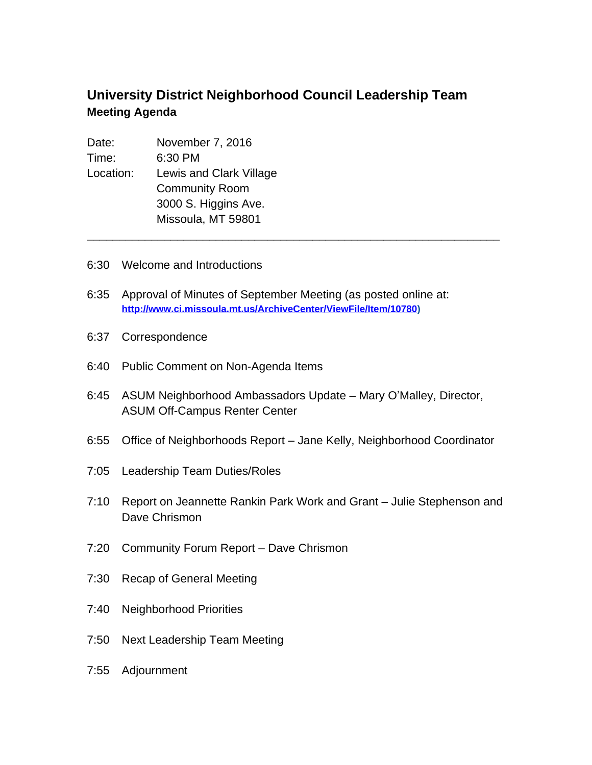## **University District Neighborhood Council Leadership Team Meeting Agenda**

| Date:     | November 7, 2016        |
|-----------|-------------------------|
| Time:     | 6:30 PM                 |
| Location: | Lewis and Clark Village |
|           | <b>Community Room</b>   |
|           | 3000 S. Higgins Ave.    |
|           | Missoula, MT 59801      |
|           |                         |

- 6:30 Welcome and Introductions
- 6:35 Approval of Minutes of September Meeting (as posted online at: **[http://www.ci.missoula.mt.us/ArchiveCenter/ViewFile/Item/10780\)](http://www.ci.missoula.mt.us/ArchiveCenter/ViewFile/Item/10780)**

\_\_\_\_\_\_\_\_\_\_\_\_\_\_\_\_\_\_\_\_\_\_\_\_\_\_\_\_\_\_\_\_\_\_\_\_\_\_\_\_\_\_\_\_\_\_\_\_\_\_\_\_\_\_\_\_\_\_\_\_\_\_\_\_

- 6:37 Correspondence
- 6:40 Public Comment on Non-Agenda Items
- 6:45 ASUM Neighborhood Ambassadors Update Mary O'Malley, Director, ASUM Off-Campus Renter Center
- 6:55 Office of Neighborhoods Report Jane Kelly, Neighborhood Coordinator
- 7:05 Leadership Team Duties/Roles
- 7:10 Report on Jeannette Rankin Park Work and Grant Julie Stephenson and Dave Chrismon
- 7:20 Community Forum Report Dave Chrismon
- 7:30 Recap of General Meeting
- 7:40 Neighborhood Priorities
- 7:50 Next Leadership Team Meeting
- 7:55 Adjournment